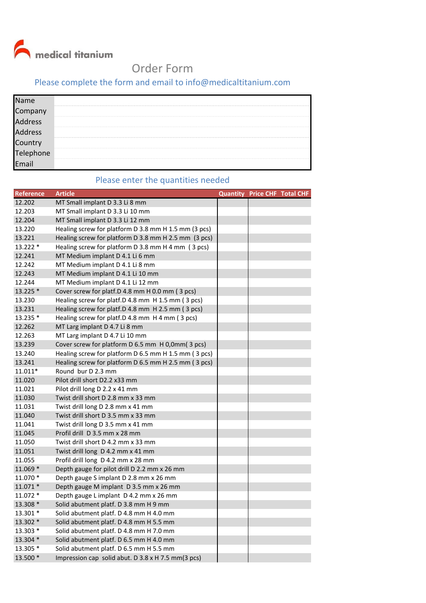medical titanium

## Order Form

## Please complete the form and email to info@medicaltitanium.com

| Name<br>Compa                                                  |   |
|----------------------------------------------------------------|---|
|                                                                | . |
|                                                                | . |
|                                                                | . |
|                                                                |   |
| Company<br>Address<br>Address<br>Country<br>Telephone<br>Email | . |
|                                                                |   |

## Please enter the quantities needed

| Reference | <b>Article</b>                                       |  | <b>Quantity Price CHF Total CHF</b> |
|-----------|------------------------------------------------------|--|-------------------------------------|
| 12.202    | MT Small implant D 3.3 Li 8 mm                       |  |                                     |
| 12.203    | MT Small implant D 3.3 Li 10 mm                      |  |                                     |
| 12.204    | MT Small implant D 3.3 Li 12 mm                      |  |                                     |
| 13.220    | Healing screw for platform D 3.8 mm H 1.5 mm (3 pcs) |  |                                     |
| 13.221    | Healing screw for platform D 3.8 mm H 2.5 mm (3 pcs) |  |                                     |
| 13.222 *  | Healing screw for platform D 3.8 mm H 4 mm (3 pcs)   |  |                                     |
| 12.241    | MT Medium implant D 4.1 Li 6 mm                      |  |                                     |
| 12.242    | MT Medium implant D 4.1 Li 8 mm                      |  |                                     |
| 12.243    | MT Medium implant D 4.1 Li 10 mm                     |  |                                     |
| 12.244    | MT Medium implant D 4.1 Li 12 mm                     |  |                                     |
| 13.225 *  | Cover screw for platf.D 4.8 mm H 0.0 mm (3 pcs)      |  |                                     |
| 13.230    | Healing screw for platf.D 4.8 mm H 1.5 mm (3 pcs)    |  |                                     |
| 13.231    | Healing screw for platf.D 4.8 mm H 2.5 mm (3 pcs)    |  |                                     |
| 13.235 *  | Healing screw for platf.D 4.8 mm H 4 mm (3 pcs)      |  |                                     |
| 12.262    | MT Larg implant D 4.7 Li 8 mm                        |  |                                     |
| 12.263    | MT Larg implant D 4.7 Li 10 mm                       |  |                                     |
| 13.239    | Cover screw for platform D 6.5 mm H 0,0mm(3 pcs)     |  |                                     |
| 13.240    | Healing screw for platform D 6.5 mm H 1.5 mm (3 pcs) |  |                                     |
| 13.241    | Healing screw for platform D 6.5 mm H 2.5 mm (3 pcs) |  |                                     |
| $11.011*$ | Round bur D 2.3 mm                                   |  |                                     |
| 11.020    | Pilot drill short D2.2 x33 mm                        |  |                                     |
| 11.021    | Pilot drill long D 2.2 x 41 mm                       |  |                                     |
| 11.030    | Twist drill short D 2.8 mm x 33 mm                   |  |                                     |
| 11.031    | Twist drill long D 2.8 mm x 41 mm                    |  |                                     |
| 11.040    | Twist drill short D 3.5 mm x 33 mm                   |  |                                     |
| 11.041    | Twist drill long D 3.5 mm x 41 mm                    |  |                                     |
| 11.045    | Profil drill D 3.5 mm x 28 mm                        |  |                                     |
| 11.050    | Twist drill short D 4.2 mm x 33 mm                   |  |                                     |
| 11.051    | Twist drill long D 4.2 mm x 41 mm                    |  |                                     |
| 11.055    | Profil drill long D 4.2 mm x 28 mm                   |  |                                     |
| 11.069 *  | Depth gauge for pilot drill D 2.2 mm x 26 mm         |  |                                     |
| 11.070 *  | Depth gauge S implant D 2.8 mm x 26 mm               |  |                                     |
| $11.071*$ | Depth gauge M implant D 3.5 mm x 26 mm               |  |                                     |
| 11.072 *  | Depth gauge L implant D 4.2 mm x 26 mm               |  |                                     |
| 13.308 *  | Solid abutment platf. D 3.8 mm H 9 mm                |  |                                     |
| 13.301 *  | Solid abutment platf. D 4.8 mm H 4.0 mm              |  |                                     |
| 13.302 *  | Solid abutment platf. D 4.8 mm H 5.5 mm              |  |                                     |
| 13.303 *  | Solid abutment platf. D 4.8 mm H 7.0 mm              |  |                                     |
| 13.304 *  | Solid abutment platf. D 6.5 mm H 4.0 mm              |  |                                     |
| 13.305 *  | Solid abutment platf. D 6.5 mm H 5.5 mm              |  |                                     |
| 13.500 *  | Impression cap solid abut. D 3.8 x H 7.5 mm(3 pcs)   |  |                                     |